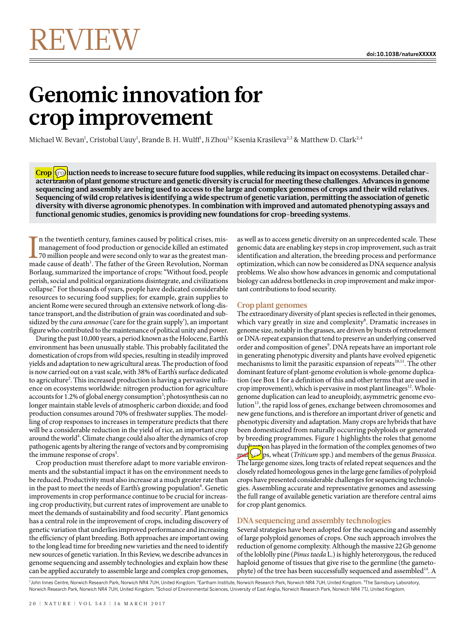# **Genomic innovation for crop improvement**

Michael W. Bevan<sup>1</sup>, Cristobal Uauy<sup>1</sup>, Brande B. H. Wulff<sup>1</sup>, Ji Zhou<sup>1,2</sup> Ksenia Krasileva<sup>2,3</sup> & Matthew D. Clark<sup>2,4</sup>

**Crop pulled** char**acterization of plant genome structure and genetic diversity is crucial for meeting these challenges. Advances in genome sequencing and assembly are being used to access to the large and complex genomes of crops and their wild relatives. Sequencing of wild crop relatives is identifying a wide spectrum of genetic variation, permitting the association of genetic diversity with diverse agronomic phenotypes. In combination with improved and automated phenotyping assays and functional genomic studies, genomics is providing new foundations for crop-breeding systems.**

In the twentieth century, famines caused by political crises, mis-<br>management of food production or genocide killed an estimated<br>70 million people and were second only to war as the greatest man-<br>made cause of death<sup>1</sup>. T n the twentieth century, famines caused by political crises, mismanagement of food production or genocide killed an estimated 70 million people and were second only to war as the greatest man-Borlaug, summarized the importance of crops: "Without food, people perish, social and political organizations disintegrate, and civilizations collapse." For thousands of years, people have dedicated considerable resources to securing food supplies; for example, grain supplies to ancient Rome were secured through an extensive network of long-distance transport, and the distribution of grain was coordinated and subsidized by the cura annonae ('care for the grain supply'), an important figure who contributed to the maintenance of political unity and power.

During the past 10,000 years, a period known as the Holocene, Earth's environment has been unusually stable. This probably facilitated the domestication of crops from wild species, resulting in steadily improved yields and adaptation to new agricultural areas. The production of food is now carried out on a vast scale, with 38% of Earth's surface dedicated to agriculture<sup>2</sup>. This increased production is having a pervasive influence on ecosystems worldwide: nitrogen production for agriculture accounts for 1.2% of global energy consumption<sup>3</sup>; photosynthesis can no longer maintain stable levels of atmospheric carbon dioxide; and food production consumes around 70% of freshwater supplies. The modelling of crop responses to increases in temperature predicts that there will be a considerable reduction in the yield of rice, an important crop around the world<sup>4</sup>. Climate change could also alter the dynamics of crop pathogenic agents by altering the range of vectors and by compromising the immune response of crops<sup>5</sup>.

Crop production must therefore adapt to more variable environments and the substantial impact it has on the environment needs to be reduced. Productivity must also increase at a much greater rate than in the past to meet the needs of Earth's growing population $^6$ . Genetic improvements in crop performance continue to be crucial for increasing crop productivity, but current rates of improvement are unable to meet the demands of sustainability and food security<sup>7</sup>. Plant genomics has a central role in the improvement of crops, including discovery of genetic variation that underlies improved performance and increasing the efficiency of plant breeding. Both approaches are important owing to the long lead time for breeding new varieties and the need to identify new sources of genetic variation. In this Review, we describe advances in genome sequencing and assembly technologies and explain how these can be applied accurately to assemble large and complex crop genomes,

as well as to access genetic diversity on an unprecedented scale. These genomic data are enabling key steps in crop improvement, such as trait identification and alteration, the breeding process and performance optimization, which can now be considered as DNA sequence analysis problems. We also show how advances in genomic and computational biology can address bottlenecks in crop improvement and make important contributions to food security.

# **Crop plant genomes**

The extraordinary diversity of plant species is reflected in their genomes, which vary greatly in size and complexity<sup>8</sup>. Dramatic increases in genome size, notably in the grasses, are driven by bursts of retroelement or DNA-repeat expansion that tend to preserve an underlying conserved order and composition of genes<sup>9</sup>. DNA repeats have an important role in generating phenotypic diversity and plants have evolved epigenetic mechanisms to limit the parasitic expansion of repeats  $^{10,11}$ . The other dominant feature of plant-genome evolution is whole-genome duplication (see Box 1 for a definition of this and other terms that are used in crop improvement), which is pervasive in most plant lineages $^{12}$ . Wholegenome duplication can lead to aneuploidy, asymmetric genome evolution<sup>13</sup>, the rapid loss of genes, exchange between chromosomes and new gene functions, and is therefore an important driver of genetic and phenotypic diversity and adaptation. Many crops are hybrids that have been domesticated from naturally occurring polyploids or generated by breeding programmes. Figure 1 highlights the roles that genome duplying has played in the formation of the complex genomes of two  $\leftrightarrow$  on has played in the formation of the complex genomes of two  $\mathbf{p}$ and  $\mathbf{p}$ s, wheat (*Triticum* spp.) and members of the genus *Brassica*. The large genome sizes, long tracts of related repeat sequences and the closely related homeologous genes in the large gene families of polyploid crops have presented considerable challenges for sequencing technologies. Assembling accurate and representative genomes and assessing the full range of available genetic variation are therefore central aims for crop plant genomics.

# **DNA sequencing and assembly technologies**

Several strategies have been adopted for the sequencing and assembly of large polyploid genomes of crops. One such approach involves the reduction of genome complexity. Although the massive 22Gb genome of the loblolly pine (Pinus taeda L.) is highly heterozygous, the reduced haploid genome of tissues that give rise to the germline (the gametophyte) of the tree has been successfully sequenced and assembled<sup>14</sup>. A

<sup>1</sup>John Innes Centre, Norwich Research Park, Norwich NR4 7UH, United Kingdom. <sup>2</sup>Earlham Institute, Norwich Research Park, Norwich NR4 7UH, United Kingdom. <sup>3</sup>The Sainsbury Laboratory, Norwich Research Park, Norwich NR4 7UH, United Kingdom. <sup>4</sup>School of Environmental Sciences, University of East Anglia, Norwich Research Park, Norwich NR4 7TJ, United Kingdom.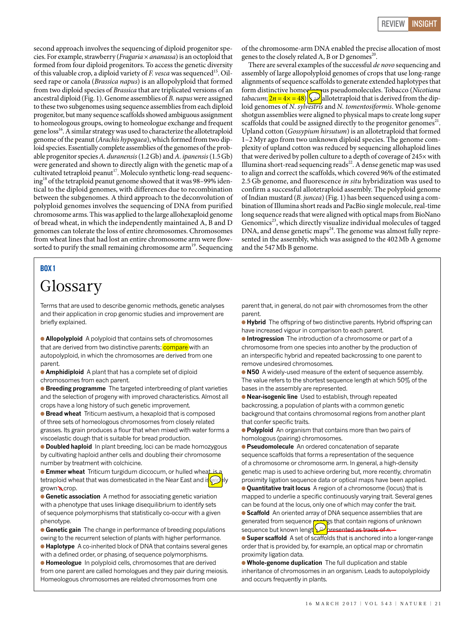second approach involves the sequencing of diploid progenitor species. For example, strawberry (*Fragaria*  $\times$  *ananassa*) is an octoploid that formed from four diploid progenitors. To access the genetic diversity of this valuable crop, a diploid variety of  $F$ . *vesca* was sequenced<sup>15</sup>. Oilseed rape or canola (Brassica napus) is an allopolyploid that formed from two diploid species of Brassica that are triplicated versions of an ancestral diploid (Fig. 1). Genome assemblies of B. napus were assigned to these two subgenomes using sequence assemblies from each diploid progenitor, but many sequence scaffolds showed ambiguous assignment to homeologous groups, owing to homeologue exchange and frequent gene  $loss<sup>16</sup>$ . A similar strategy was used to characterize the allotetraploid genome of the peanut (Arachis hypogaea), which formed from two diploid species. Essentially complete assemblies of the genomes of the probable progenitor species A. duranensis (1.2Gb) and A. ipanensis (1.5Gb) were generated and shown to directly align with the genetic map of a cultivated tetraploid peanut<sup>17</sup>. Moleculo synthetic long-read sequencing<sup>18</sup> of the tetraploid peanut genome showed that it was 98–99% identical to the diploid genomes, with differences due to recombination between the subgenomes. A third approach to the deconvolution of polyploid genomes involves the sequencing of DNA from purified chromosome arms. This was applied to the large allohexaploid genome of bread wheat, in which the independently maintained A, B and D genomes can tolerate the loss of entire chromosomes. Chromosomes from wheat lines that had lost an entire chromosome arm were flowsorted to purify the small remaining chromosome  $arm<sup>19</sup>$ . Sequencing

# BOX 1

# Glossary

Terms that are used to describe genomic methods, genetic analyses and their application in crop genomic studies and improvement are briefly explained.

● **Allopolyploid** A polyploid that contains sets of chromosomes that are derived from two distinctive parents; compare with an autopolyploid, in which the chromosomes are derived from one parent.

● **Amphidiploid** A plant that has a complete set of diploid chromosomes from each parent.

● **Breeding programme** The targeted interbreeding of plant varieties and the selection of progeny with improved characteristics. Almost all crops have a long history of such genetic improvement.

● **Bread wheat** Triticum aestivum, a hexaploid that is composed of three sets of homeologous chromosomes from closely related grasses. Its grain produces a flour that when mixed with water forms a viscoelastic dough that is suitable for bread production.

● **Doubled haploid** In plant breeding, loci can be made homozygous by cultivating haploid anther cells and doubling their chromosome number by treatment with colchicine.

**Emmer wheat** Triticum turgidum diccocum, or hulled wheat is a tetraploid wheat that was domesticated in the Near East and is widely grown **a** crop.

**• Genetic association** A method for associating genetic variation with a phenotype that uses linkage disequilibrium to identify sets of sequence polymorphisms that statistically co-occur with a given phenotype.

**Genetic gain** The change in performance of breeding populations owing to the recurrent selection of plants with higher performance.

● **Haplotype** A co-inherited block of DNA that contains several genes with a defined order, or phasing, of sequence polymorphisms.

● **Homeologue** In polyploid cells, chromosomes that are derived from one parent are called homologues and they pair during meiosis. Homeologous chromosomes are related chromosomes from one

of the chromosome-arm DNA enabled the precise allocation of most genes to the closely related A, B or D genomes<sup>20</sup>.

There are several examples of the successful *de novo* sequencing and assembly of large allopolyploid genomes of crops that use long-range alignments of sequence scaffolds to generate extended haplotypes that form distinctive homeology us pseudomolecules. Tobacco (Nicotiana tabacum;  $2n = 4 \times = 48$  allotetraploid that is derived from the diploid genomes of N. sylvestris and N. tomentosiformis. Whole-genome shotgun assemblies were aligned to physical maps to create long super scaffolds that could be assigned directly to the progenitor genomes<sup>21</sup>. Upland cotton (Gossypium hirsutum) is an allotetraploid that formed 1–2Myr ago from two unknown diploid species. The genome complexity of upland cotton was reduced by sequencing allohaploid lines that were derived by pollen culture to a depth of coverage of 245× with Illumina short-read sequencing reads<sup>22</sup>. A dense genetic map was used to align and correct the scaffolds, which covered 96% of the estimated 2.5 Gb genome, and fluorescence in situ hybridization was used to confirm a successful allotetraploid assembly. The polyploid genome of Indian mustard (B. juncea) (Fig. 1) has been sequenced using a combination of Illumina short reads and PacBio single molecule, real-time long sequence reads that were aligned with optical maps from BioNano Genomics<sup>23</sup>, which directly visualize individual molecules of tagged DNA, and dense genetic maps<sup>24</sup>. The genome was almost fully represented in the assembly, which was assigned to the 402Mb A genome and the 547Mb B genome.

parent that, in general, do not pair with chromosomes from the other parent.

● **Hybrid** The offspring of two distinctive parents. Hybrid offspring can have increased vigour in comparison to each parent.

● **Introgression** The introduction of a chromosome or part of a chromosome from one species into another by the production of an interspecific hybrid and repeated backcrossing to one parent to remove undesired chromosomes.

● **N50** A widely-used measure of the extent of sequence assembly. The value refers to the shortest sequence length at which 50% of the bases in the assembly are represented.

● **Near-isogenic line** Used to establish, through repeated backcrossing, a population of plants with a common genetic background that contains chromosomal regions from another plant that confer specific traits.

**• Polyploid** An organism that contains more than two pairs of homologous (pairing) chromosomes.

● **Pseudomolecule** An ordered concatenation of separate sequence scaffolds that forms a representation of the sequence of a chromosome or chromosome arm. In general, a high-density genetic map is used to achieve ordering but, more recently, chromatin proximity ligation sequence data or optical maps have been applied. ● **Quantitative trait locus** A region of a chromosome (locus) that is

mapped to underlie a specific continuously varying trait. Several genes can be found at the locus, only one of which may confer the trait. **• Scaffold** An oriented array of DNA sequence assemblies that are generated from sequence contain regions of unknown sequence but known length. Puresented as tracts of *n*.

● **Super scaffold** A set of scaffolds that is anchored into a longer-range order that is provided by, for example, an optical map or chromatin proximity ligation data.

● **Whole-genome duplication** The full duplication and stable inheritance of chromosomes in an organism. Leads to autopolyploidy and occurs frequently in plants.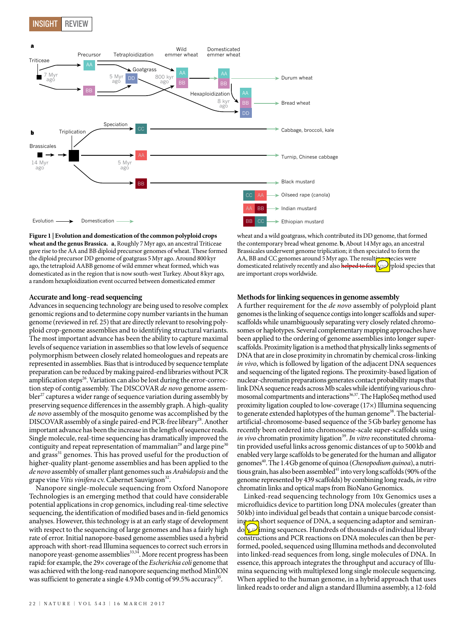

#### **Figure 1 | Evolution and domestication of the common polyploid crops**

**wheat and the genus Brassica. a**, Roughly 7Myr ago, an ancestral Triticeae gave rise to the AA and BB diploid precursor genomes of wheat. These formed the diploid precursor DD genome of goatgrass 5Myr ago. Around 800kyr ago, the tetraploid AABB genome of wild emmer wheat formed, which was domesticated as in the region that is now south-west Turkey. About 8kyr ago, a random hexaploidization event occurred between domesticated emmer

#### **Accurate and long-read sequencing**

Advances in sequencing technology are being used to resolve complex genomic regions and to determine copy number variants in the human genome (reviewed in ref. 25) that are directly relevant to resolving polyploid crop-genome assemblies and to identifying structural variants. The most important advance has been the ability to capture maximal levels of sequence variation in assemblies so that low levels of sequence polymorphism between closely related homeologues and repeats are represented in assemblies. Bias that is introduced by sequence template preparation can be reduced by making paired-end libraries without PCR amplification steps<sup>26</sup>. Variation can also be lost during the error-correction step of contig assembly. The DISCOVAR de novo genome assem $b$ ler<sup>27</sup> captures a wider range of sequence variation during assembly by preserving sequence differences in the assembly graph. A high-quality de novo assembly of the mosquito genome was accomplished by the DISCOVAR assembly of a single paired-end PCR-free library<sup>28</sup>. Another important advance has been the increase in the length of sequence reads. Single molecule, real-time sequencing has dramatically improved the contiguity and repeat representation of mammalian<sup>29</sup> and large pine<sup>30</sup> and grass<sup>31</sup> genomes. This has proved useful for the production of higher-quality plant-genome assemblies and has been applied to the de novo assembly of smaller plant genomes such as Arabidopsis and the grape vine Vitis vinifera cv. Cabernet Sauvignon<sup>32</sup>.

Nanopore single-molecule sequencing from Oxford Nanopore Technologies is an emerging method that could have considerable potential applications in crop genomics, including real-time selective sequencing, the identification of modified bases and in-field genomics analyses. However, this technology is at an early stage of development with respect to the sequencing of large genomes and has a fairly high rate of error. Initial nanopore-based genome assemblies used a hybrid approach with short-read Illumina sequences to correct such errors in nanopore yeast-genome assemblies $^{\rm 33,34}.$  More recent progress has been rapid: for example, the 29× coverage of the Escherichia coli genome that was achieved with the long-read nanopore sequencing method MinION was sufficient to generate a single  $4.9 \text{ Mb}$  contig of 99.5% accuracy<sup>35</sup>.

### **Methods for linking sequences in genome assembly**

are important crops worldwide.

wheat and a wild goatgrass, which contributed its DD genome, that formed the contemporary bread wheat genome. **b**, About 14Myr ago, an ancestral Brassicales underwent genome triplication; it then speciated to form the AA, BB and CC genomes around 5 Myr ago. The resulting species were domesticated relatively recently and also helped to form polyploid species that

A further requirement for the de novo assembly of polyploid plant genomes is the linking of sequence contigs into longer scaffolds and superscaffolds while unambiguously separating very closely related chromosomes or haplotypes. Several complementary mapping approaches have been applied to the ordering of genome assemblies into longer superscaffolds. Proximity ligation is a method that physically links segments of DNA that are in close proximity in chromatin by chemical cross-linking in vivo, which is followed by ligation of the adjacent DNA sequences and sequencing of the ligated regions. The proximity-based ligation of nuclear-chromatin preparations generates contact probability maps that link DNA sequence reads across Mb scales while identifying various chromosomal compartments and interactions<sup>36,37</sup>. The HaploSeq method used proximity ligation coupled to low-coverage (17×) Illumina sequencing to generate extended haplotypes of the human genome<sup>38</sup>. The bacterialartificial-chromosome-based sequence of the 5Gb barley genome has recently been ordered into chromosome-scale super-scaffolds using in vivo chromatin proximity ligation<sup>39</sup>. In vitro reconstituted chromatin provided useful links across genomic distances of up to 500kb and enabled very large scaffolds to be generated for the human and alligator genomes<sup>40</sup>. The 1.4 Gb genome of quinoa (Chenopodium quinoa), a nutritious grain, has also been assembled<sup>41</sup> into very long scaffolds (90% of the genome represented by 439 scaffolds) by combining long reads, in vitro chromatin links and optical maps from BioNano Genomics.

Linked-read sequencing technology from 10x Genomics uses a microfluidics device to partition long DNA molecules (greater than 50kb) into individual gel beads that contain a unique barcode consisting  $\epsilon$  short sequence of DNA, a sequencing adaptor and semirando $\sqrt{\omega}$ iming sequences. Hundreds of thousands of individual library constructions and PCR reactions on DNA molecules can then be performed, pooled, sequenced using Illumina methods and deconvoluted into linked-read sequences from long, single molecules of DNA. In essence, this approach integrates the throughput and accuracy of Illumina sequencing with multiplexed long single molecule sequencing. When applied to the human genome, in a hybrid approach that uses linked reads to order and align a standard Illumina assembly, a 12-fold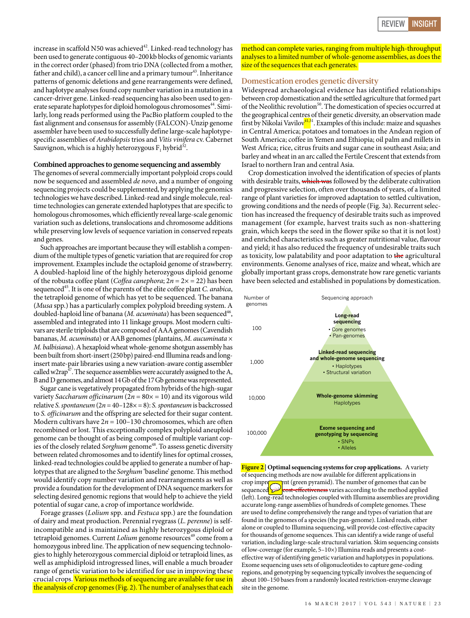increase in scaffold N50 was achieved<sup>42</sup>. Linked-read technology has been used to generate contiguous 40–200kb blocks of genomic variants in the correct order (phased) from trio DNA (collected from a mother, father and child), a cancer cell line and a primary tumour<sup>43</sup>. Inheritance patterns of genomic deletions and gene rearrangements were defined, and haplotype analyses found copy number variation in a mutation in a cancer-driver gene. Linked-read sequencing has also been used to generate separate haplotypes for diploid homologous chromosomes<sup>44</sup>. Similarly, long reads performed using the PacBio platform coupled to the fast alignment and consensus for assembly (FALCON)-Unzip genome assembler have been used to successfully define large-scale haplotypespecific assemblies of Arabidopsis trios and Vitis vinifera cv. Cabernet Sauvignon, which is a highly heterozygous  $F_1$  hybrid<sup>32</sup>.

#### **Combined approaches to genome sequencing and assembly**

The genomes of several commercially important polyploid crops could now be sequenced and assembled de novo, and a number of ongoing sequencing projects could be supplemented, by applying the genomics technologies we have described. Linked-read and single molecule, realtime technologies can generate extended haplotypes that are specific to homologous chromosomes, which efficiently reveal large-scale genomic variation such as deletions, translocations and chromosome additions while preserving low levels of sequence variation in conserved repeats and genes.

Such approaches are important because they will establish a compendium of the multiple types of genetic variation that are required for crop improvement. Examples include the octaploid genome of strawberry. A doubled-haploid line of the highly heterozygous diploid genome of the robusta coffee plant (*Coffea canephora*;  $2n = 2 \times 22$ ) has been sequenced<sup>45</sup>. It is one of the parents of the elite coffee plant *C. arabica*, the tetraploid genome of which has yet to be sequenced. The banana (Musa spp.) has a particularly complex polyploid breeding system. A doubled-haploid line of banana (*M. acuminata*) has been sequenced<sup>46</sup>, assembled and integrated into 11 linkage groups. Most modern cultivars are sterile triploids that are composed of AAA genomes (Cavendish bananas, M. acuminata) or AAB genomes (plantains, M. aucuminata  $\times$ M. balbisiana). A hexaploid wheat whole-genome shotgun assembly has been built from short-insert (250bp) paired-end Illumina reads and longinsert mate-pair libraries using a new variation-aware contig assembler called w2rap<sup>47</sup>. The sequence assemblies were accurately assigned to the A, B andD genomes, and almost 14Gb of the 17Gb genome was represented.

Sugar cane is vegetatively propagated from hybrids of the high-sugar variety Saccharum officinarum  $(2n = 80 \times 10)$  and its vigorous wild relative S. spontaneum  $(2n = 40 - 128 \times 0.5)$ : S. spontaneum is backcrossed to S. officinarum and the offspring are selected for their sugar content. Modern cultivars have  $2n = 100-130$  chromosomes, which are often recombined or lost. This exceptionally complex polyploid aneuploid genome can be thought of as being composed of multiple variant copies of the closely related Sorghum genome<sup>48</sup>. To assess genetic diversity between related chromosomes and to identify lines for optimal crosses, linked-read technologies could be applied to generate a number of haplotypes that are aligned to the Sorghum 'baseline' genome. This method would identify copy number variation and rearrangements as well as provide a foundation for the development of DNA sequence markers for selecting desired genomic regions that would help to achieve the yield potential of sugar cane, a crop of importance worldwide.

Forage grasses (Lolium spp. and Festuca spp.) are the foundation of dairy and meat production. Perennial ryegrass (L. perenne) is selfincompatible and is maintained as highly heterozygous diploid or tetraploid genomes. Current Lolium genome resources<sup>49</sup> come from a homozygous inbred line. The application of new sequencing technologies to highly heterozygous commercial diploid or tetraploid lines, as well as amphidiploid introgressed lines, will enable a much broader range of genetic variation to be identified for use in improving these crucial crops. Various methods of sequencing are available for use in the analysis of crop genomes (Fig. 2). The number of analyses that each

method can complete varies, ranging from multiple high-throughput analyses to a limited number of whole-genome assemblies, as does the size of the sequences that each generates.

#### **Domestication erodes genetic diversity**

Widespread archaeological evidence has identified relationships between crop domestication and the settled agriculture that formed part of the Neolithic revolution<sup>50</sup>. The domestication of species occurred at the geographical centres of their genetic diversity, an observation made first by Nikolai Vavilov<sup>41,51</sup>. Examples of this include: maize and squashes in Central America; potatoes and tomatoes in the Andean region of South America; coffee in Yemen and Ethiopia; oil palm and millets in West Africa; rice, citrus fruits and sugar cane in southeast Asia; and barley and wheat in an arc called the Fertile Crescent that extends from Israel to northern Iran and central Asia.

Crop domestication involved the identification of species of plants with desirable traits, which was followed by the deliberate cultivation and progressive selection, often over thousands of years, of a limited range of plant varieties for improved adaptation to settled cultivation, growing conditions and the needs of people (Fig. 3a). Recurrent selection has increased the frequency of desirable traits such as improved management (for example, harvest traits such as non-shattering grain, which keeps the seed in the flower spike so that it is not lost) and enriched characteristics such as greater nutritional value, flavour and yield; it has also reduced the frequency of undesirable traits such as toxicity, low palatability and poor adaptation to the agricultural environments. Genome analyses of rice, maize and wheat, which are globally important grass crops, demonstrate how rare genetic variants have been selected and established in populations by domestication.



**Figure 2 | Optimal sequencing systems for crop applications.** A variety of sequencing methods are now available for different applications in crop improperties (green pyramid). The number of genomes that can crop improvement (green pyramid). The number of genomes that can be sequenced <u>سنتر cost-effectiveness</u> varies according to the method applied (left). Long-read technologies coupled with Illumina assemblies are providing accurate long-range assemblies of hundreds of complete genomes. These are used to define comprehensively the range and types of variation that are found in the genomes of a species (the pan-genome). Linked reads, either alone or coupled to Illumina sequencing, will provide cost-effective capacity for thousands of genome sequences. This can identify a wide range of useful variation, including large-scale structural variation. Skim sequencing consists of low-coverage (for example, 5–10×) Illumina reads and presents a costeffective way of identifying genetic variation and haplotypes in populations. Exome sequencing uses sets of oligonucleotides to capture gene-coding regions, and genotyping by sequencing typically involves the sequencing of about 100–150 bases from a randomly located restriction-enzyme cleavage site in the genome.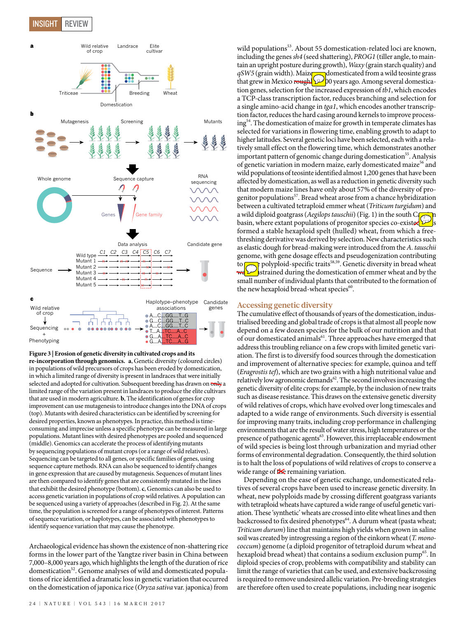# INSIGHT REVIEW



**Figure 3 | Erosion of genetic diversity in cultivated crops and its re-incorporation through genomics. a**, Genetic diversity (coloured circles) in populations of wild precursors of crops has been eroded by domestication, in which a limited range of diversity is present in landraces that were initially selected and adopted for cultivation. Subsequent breeding has drawn on only a limited range of the variation present in landraces to produce the elite cultivars that are used in modern agriculture. **b**, The identification of genes for crop improvement can use mutagenesis to introduce changes into the DNA of crops (top). Mutants with desired characteristics can be identified by screening for desired properties, known as phenotypes. In practice, this method is timeconsuming and imprecise unless a specific phenotype can be measured in large populations. Mutant lines with desired phenotypes are pooled and sequenced (middle). Genomics can accelerate the process of identifying mutants by sequencing populations of mutant crops (or a range of wild relatives). Sequencing can be targeted to all genes, or specific families of genes, using sequence capture methods. RNA can also be sequenced to identify changes in gene expression that are caused by mutagenesis. Sequences of mutant lines are then compared to identify genes that are consistently mutated in the lines that exhibit the desired phenotype (bottom). **c**, Genomics can also be used to access genetic variation in populations of crop wild relatives. A population can be sequenced using a variety of approaches (described in Fig. 2). At the same time, the population is screened for a range of phenotypes of interest. Patterns of sequence variation, or haplotypes, can be associated with phenotypes to identify sequence variation that may cause the phenotype.

Archaeological evidence has shown the existence of non-shattering rice forms in the lower part of the Yangtze river basin in China between 7,000–8,000 years ago, which highlights the length of the duration of rice domestication<sup>52</sup>. Genome analyses of wild and domesticated populations of rice identified a dramatic loss in genetic variation that occurred on the domestication of japonica rice (Oryza sativa var. japonica) from

wild populations<sup>53</sup>. About 55 domestication-related loci are known, including the genes sh4 (seed shattering), PROG1 (tiller angle, to maintain an upright posture during growth), Waxy (grain starch quality) and  $qSW5$  (grain width). Maize domesticated from a wild teosinte grass that grew in Mexico rough  $\gg 0$  years ago. Among several domestication genes, selection for the increased expression of tb1, which encodes a TCP-class transcription factor, reduces branching and selection for a single amino-acid change in tga1, which encodes another transcription factor, reduces the hard casing around kernels to improve processing54. The domestication of maize for growth in temperate climates has selected for variations in flowering time, enabling growth to adapt to higher latitudes. Several genetic loci have been selected, each with a relatively small effect on the flowering time, which demonstrates another important pattern of genomic change during domestication<sup>55</sup>. Analysis of genetic variation in modern maize, early domesticated maize<sup>56</sup> and wild populations of teosinte identified almost 1,200 genes that have been affected by domestication, as well as a reduction in genetic diversity such that modern maize lines have only about 57% of the diversity of progenitor populations<sup>57</sup>. Bread wheat arose from a chance hybridization between a cultivated tetraploid emmer wheat (Triticum turgidum) and a wild diploid goatgrass (Aegilops tauschii) (Fig. 1) in the south Ca basin, where extant populations of progenitor species co-existed formed a stable hexaploid spelt (hulled) wheat, from which a freethreshing derivative was derived by selection. New characteristics such as elastic dough for bread-making were introduced from the A. tauschii genome, with gene dosage effects and pseudogenization contributing to  $\sim$  polyploid-specific traits<sup>58,59</sup>. Genetic diversity in bread wheat strained during the domestication of emmer wheat and by the small number of individual plants that contributed to the formation of the new hexaploid bread-wheat species<sup>60</sup>.

# **Accessing genetic diversity**

The cumulative effect of thousands of years of the domestication, industrialised breeding and global trade of crops is that almost all people now depend on a few dozen species for the bulk of our nutrition and that of our domesticated animals<sup>61</sup>. Three approaches have emerged that address this troubling reliance on a few crops with limited genetic variation. The first is to diversify food sources through the domestication and improvement of alternative species: for example, quinoa and teff (Eragrostis tef), which are two grains with a high nutritional value and relatively low agronomic demands<sup>62</sup>. The second involves increasing the genetic diversity of elite crops: for example, by the inclusion of new traits such as disease resistance. This draws on the extensive genetic diversity of wild relatives of crops, which have evolved over long timescales and adapted to a wide range of environments. Such diversity is essential for improving many traits, including crop performance in challenging environments that are the result of water stress, high temperatures or the presence of pathogenic agents<sup>63</sup>. However, this irreplaceable endowment of wild species is being lost through urbanization and myriad other forms of environmental degradation. Consequently, the third solution is to halt the loss of populations of wild relatives of crops to conserve a wide range of **the** remaining variation.

Depending on the ease of genetic exchange, undomesticated relatives of several crops have been used to increase genetic diversity. In wheat, new polyploids made by crossing different goatgrass variants with tetraploid wheats have captured a wide range of useful genetic variation. These 'synthetic' wheats are crossed into elite wheat lines and then backcrossed to fix desired phenotypes<sup>64</sup>. A durum wheat (pasta wheat; Triticum durum) line that maintains high yields when grown in saline soil was created by introgressing a region of the einkorn wheat (T. monococcum) genome (a diploid progenitor of tetraploid durum wheat and hexaploid bread wheat) that contains a sodium exclusion pump<sup>65</sup>. In diploid species of crop, problems with compatibility and stability can limit the range of varieties that can be used, and extensive backcrossing is required to remove undesired allelic variation. Pre-breeding strategies are therefore often used to create populations, including near isogenic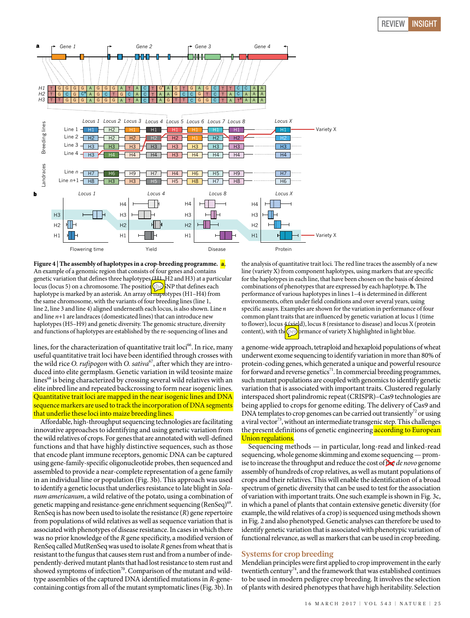

**Figure 4 | The assembly of haplotypes in a crop-breeding programme. a**, An example of a genomic region that consists of four genes and contains genetic variation that defines three haplotypes (H1, H2 and H3) at a particular locus (locus 5) on a chromosome. The position  $(h)$  NP that defines each haplotype is marked by an asterisk. An array of naplotypes (H1–H4) from the same chromosome, with the variants of four breeding lines (line 1, line 2, line 3 and line 4) aligned underneath each locus, is also shown. Line n and line  $n+1$  are landraces (domesticated lines) that can introduce new haplotypes (H5–H9) and genetic diversity. The genomic structure, diversity and functions of haplotypes are established by the re-sequencing of lines and

lines, for the characterization of quantitative trait  $\text{loci}^{66}$ . In rice, many useful quantitative trait loci have been identified through crosses with the wild rice O. rufipogon with O. sativa<sup>67</sup>, after which they are introduced into elite germplasm. Genetic variation in wild teosinte maize lines<sup>68</sup> is being characterized by crossing several wild relatives with an elite inbred line and repeated backcrossing to form near isogenic lines. Quantitative trait loci are mapped in the near isogenic lines and DNA sequence markers are used to track the incorporation of DNA segments that underlie these loci into maize breeding lines.

Affordable, high-throughput sequencing technologies are facilitating innovative approaches to identifying and using genetic variation from the wild relatives of crops. For genes that are annotated with well-defined functions and that have highly distinctive sequences, such as those that encode plant immune receptors, genomic DNA can be captured using gene-family-specific oligonucleotide probes, then sequenced and assembled to provide a near-complete representation of a gene family in an individual line or population (Fig. 3b). This approach was used to identify a genetic locus that underlies resistance to late blight in Solanum americanum, a wild relative of the potato, using a combination of genetic mapping and resistance-gene enrichment sequencing (RenSeq)<sup>69</sup>. RenSeq is has now been used to isolate the resistance (R) gene repertoire from populations of wild relatives as well as sequence variation that is associated with phenotypes of disease resistance. In cases in which there was no prior knowledge of the R gene specificity, a modified version of RenSeq called MutRenSeq was used to isolate Rgenes from wheat that is resistant to the fungus that causes stem rust and from a number of independently-derived mutant plants that had lost resistance to stem rust and showed symptoms of infection<sup>70</sup>. Comparison of the mutant and wildtype assemblies of the captured DNA identified mutations in R-genecontaining contigs from all of the mutant symptomatic lines (Fig. 3b). In

the analysis of quantitative trait loci. The red line traces the assembly of a new line (variety X) from component haplotypes, using markers that are specific for the haplotypes in each line, that have been chosen on the basis of desired combinations of phenotypes that are expressed by each haplotype. **b**, The performance of various haplotypes in lines 1–4 is determined in different environments, often under field conditions and over several years, using specific assays. Examples are shown for the variation in performance of four common plant traits that are influenced by genetic variation at locus 1 (time to flower), locus 4 (yield), locus 8 (resistance to disease) and locus X (protein content), with the performance of variety X highlighted in light blue.

a genome-wide approach, tetraploid and hexaploid populations of wheat underwent exome sequencing to identify variation in more than 80% of protein-coding genes, which generated a unique and powerful resource for forward and reverse genetics<sup>71</sup>. In commercial breeding programmes, such mutant populations are coupled with genomics to identify genetic variation that is associated with important traits. Clustered regularly interspaced short palindromic repeat (CRISPR)–Cas9 technologies are being applied to crops for genome editing. The delivery of Cas9 and DNA templates to crop genomes can be carried out transiently<sup>72</sup> or using a viral vector<sup>73</sup>, without an intermediate transgenic step. This challenges the present definitions of genetic engineering **according to European** Union regulations.

Sequencing methods — in particular, long-read and linked-read sequencing, whole genome skimming and exome sequencing—promise to increase the throughput and reduce the cost of  $\mathbf{h} \in \mathbb{R}$  de novo genome assembly of hundreds of crop relatives, as well as mutant populations of crops and their relatives. This will enable the identification of a broad spectrum of genetic diversity that can be used to test for the association of variation with important traits. One such example is shown in Fig. 3c, in which a panel of plants that contain extensive genetic diversity (for example, the wild relatives of a crop) is sequenced using methods shown in Fig. 2 and also phenotyped. Genetic analyses can therefore be used to identify genetic variation that is associated with phenotypic variation of functional relevance, as well as markers that can be used in crop breeding.

# **Systems for crop breeding**

Mendelian principles were first applied to crop improvement in the early twentieth century<sup>74</sup>, and the framework that was established continues to be used in modern pedigree crop breeding. It involves the selection of plants with desired phenotypes that have high heritability. Selection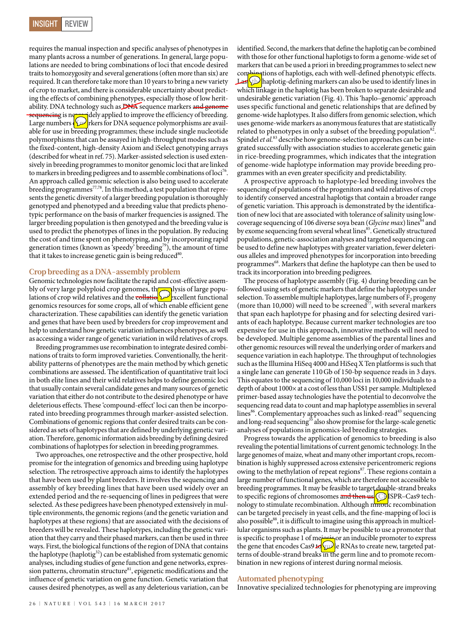requires the manual inspection and specific analyses of phenotypes in many plants across a number of generations. In general, large populations are needed to bring combinations of loci that encode desired traits to homozygosity and several generations (often more than six) are required. It can therefore take more than 10 years to bring a new variety of crop to market, and there is considerable uncertainty about predicting the effects of combining phenotypes, especially those of low heritability. DNA technology such as DNA sequence markers and genome sequencing is now idely applied to improve the efficiency of breeding. Large numbers  $\sqrt{\frac{1}{2}}$  rkers for DNA sequence polymorphisms are available for use in breeding programmes; these include single nucleotide polymorphisms that can be assayed in high-throughput modes such as the fixed-content, high-density Axiom and iSelect genotyping arrays (described for wheat in ref. 75). Marker-assisted selection is used extensively in breeding programmes to monitor genomic loci that are linked to markers in breeding pedigrees and to assemble combinations of loci<sup>76</sup>. An approach called genomic selection is also being used to accelerate breeding programmes<sup>77,78</sup>. In this method, a test population that represents the genetic diversity of a larger breeding population is thoroughly genotyped and phenotyped and a breeding value that predicts phenotypic performance on the basis of marker frequencies is assigned. The larger breeding population is then genotyped and the breeding value is used to predict the phenotypes of lines in the population. By reducing the cost of and time spent on phenotyping, and by incorporating rapid generation times (known as 'speedy' breeding<sup>79</sup>), the amount of time that it takes to increase genetic gain is being reduced<sup>80</sup>.

# **Crop breeding as a DNA-assembly problem**

Genomic technologies now facilitate the rapid and cost-effective assembly of very large polyploid crop genomes, the alyosis of large populations of crop wild relatives and the collation of excellent functional genomics resources for some crops, all of which enable efficient gene characterization. These capabilities can identify the genetic variation and genes that have been used by breeders for crop improvement and help to understand how genetic variation influences phenotypes, as well as accessing a wider range of genetic variation in wild relatives of crops.

Breeding programmes use recombination to integrate desired combinations of traits to form improved varieties. Conventionally, the heritability patterns of phenotypes are the main method by which genetic combinations are assessed. The identification of quantitative trait loci in both elite lines and their wild relatives helps to define genomic loci that usually contain several candidate genes and many sources of genetic variation that either do not contribute to the desired phenotype or have deleterious effects. These 'compound-effect' loci can then be incorporated into breeding programmes through marker-assisted selection. Combinations of genomic regions that confer desired traits can be considered as sets of haplotypes that are defined by underlying genetic variation. Therefore, genomic information aids breeding by defining desired combinations of haplotypes for selection in breeding programmes.

Two approaches, one retrospective and the other prospective, hold promise for the integration of genomics and breeding using haplotype selection. The retrospective approach aims to identify the haplotypes that have been used by plant breeders. It involves the sequencing and assembly of key breeding lines that have been used widely over an extended period and the re-sequencing of lines in pedigrees that were selected. As these pedigrees have been phenotyped extensively in multiple environments, the genomic regions (and the genetic variation and haplotypes at these regions) that are associated with the decisions of breeders will be revealed. These haplotypes, including the genetic variation that they carry and their phased markers, can then be used in three ways. First, the biological functions of the region of DNA that contains the haplotype (haplotig $32$ ) can be established from systematic genomic analyses, including studies of gene function and gene networks, expression patterns, chromatin structure<sup>81</sup>, epigenetic modifications and the influence of genetic variation on gene function. Genetic variation that causes desired phenotypes, as well as any deleterious variation, can be

identified. Second, the markers that define the haplotig can be combined with those for other functional haplotigs to form a genome-wide set of markers that can be used a priori in breeding programmes to select new combinations of haplotigs, each with well-defined phenotypic effects. Last, the haplotig-defining markers can also be used to identify lines in which linkage in the haplotig has been broken to separate desirable and undesirable genetic variation (Fig. 4). This 'haplo–genomic' approach uses specific functional and genetic relationships that are defined by genome-wide haplotypes. It also differs from genomic selection, which uses genome-wide markers as anonymous features that are statistically related to phenotypes in only a subset of the breeding population<sup>82</sup>. Spindel *et al.*<sup>83</sup> describe how genome-selection approaches can be integrated successfully with association studies to accelerate genetic gain in rice-breeding programmes, which indicates that the integration of genome-wide haplotype information may provide breeding programmes with an even greater specificity and predictability.

A prospective approach to haplotype-led breeding involves the sequencing of populations of the progenitors and wild relatives of crops to identify conserved ancestral haplotigs that contain a broader range of genetic variation. This approach is demonstrated by the identification of new loci that are associated with tolerance of salinity using lowcoverage sequencing of 106 diverse soya bean (Glycine max) lines<sup>84</sup> and by exome sequencing from several wheat lines<sup>85</sup>. Genetically structured populations, genetic-association analyses and targeted sequencing can be used to define new haplotypes with greater variation, fewer deleterious alleles and improved phenotypes for incorporation into breeding programmes<sup>68</sup>. Markers that define the haplotype can then be used to track its incorporation into breeding pedigrees.

The process of haplotype assembly (Fig. 4) during breeding can be followed using sets of genetic markers that define the haplotypes under selection. To assemble multiple haplotypes, large numbers of  $F<sub>2</sub>$  progeny (more than 10,000) will need to be screened<sup>77</sup>, with several markers that span each haplotype for phasing and for selecting desired variants of each haplotype. Because current marker technologies are too expensive for use in this approach, innovative methods will need to be developed. Multiple genome assemblies of the parental lines and other genomic resources will reveal the underlying order of markers and sequence variation in each haplotype. The throughput of technologies such as the Illumina HiSeq 4000 and HiSeqXTen platforms is such that a single lane can generate 110Gb of 150-bp sequence reads in 3 days. This equates to the sequencing of 10,000 loci in 10,000 individuals to a depth of about 1000× at a cost of less than US\$1 per sample. Multiplexed primer-based assay technologies have the potential to deconvolve the sequencing read data to count and map haplotype assemblies in several lines<sup>86</sup>. Complementary approaches such as linked-read<sup>43</sup> sequencing and long-read sequencing<sup>35</sup> also show promise for the large-scale genetic analyses of populations in genomics-led breeding strategies.

Progress towards the application of genomics to breeding is also revealing the potential limitations of current genomic technology. In the large genomes of maize, wheat and many other important crops, recombination is highly suppressed across extensive pericentromeric regions owing to the methylation of repeat regions<sup>87</sup>. These regions contain a large number of functional genes, which are therefore not accessible to breeding programmes. It may be feasible to target double-strand breaks to specific regions of chromosomes and then us  $\bigodot$  SPR–Cas9 technology to stimulate recombination. Although mitotic recombination can be targeted precisely in yeast cells, and the fine-mapping of loci is also possible<sup>88</sup>, it is difficult to imagine using this approach in multicellular organisms such as plants. It may be possible to use a promoter that is specific to prophase 1 of meinsing or an inducible promoter to express the gene that encodes Cas9  $\iota$ لنري $\ell$ e RNAs to create new, targeted patterns of double-strand breaks in the germ line and to promote recombination in new regions of interest during normal meiosis.

#### **Automated phenotyping**

Innovative specialized technologies for phenotyping are improving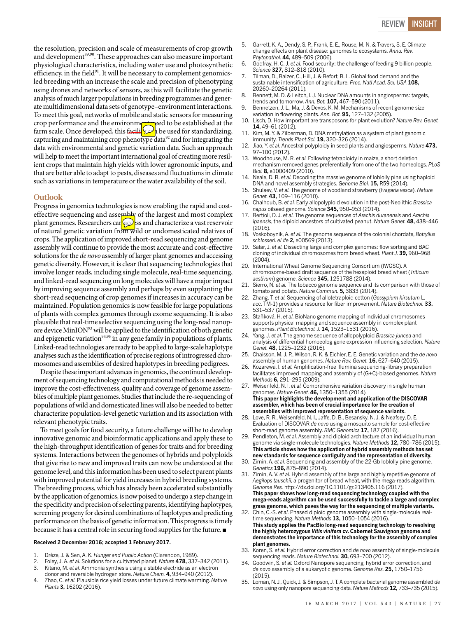the resolution, precision and scale of measurements of crop growth and development<sup>89,90</sup>. These approaches can also measure important physiological characteristics, including water use and photosynthetic efficiency, in the field $91$ . It will be necessary to complement genomicsled breeding with an increase the scale and precision of phenotyping using drones and networks of sensors, as this will facilitate the genetic analysis of much larger populations in breeding programmes and generate multidimensional data sets of genotype–environment interactions. To meet this goal, networks of mobile and static sensors for measuring crop performance and the environment and the established at the farm scale. Once developed, this facility of he used for standardizing, capturing and maintaining crop phenotype data<sup>92</sup> and for integrating the data with environmental and genetic variation data. Such an approach will help to meet the important international goal of creating more resilient crops that maintain high yields with lower agronomic inputs, and that are better able to adapt to pests, diseases and fluctuations in climate such as variations in temperature or the water availability of the soil.

#### **Outlook**

Progress in genomics technologies is now enabling the rapid and costeffective sequencing and assembly of the largest and most complex plant genomes. Researchers can **sect and characterize a vast reservoir** of natural genetic variation from wild or undomesticated relatives of crops. The application of improved short-read sequencing and genome assembly will continue to provide the most accurate and cost-effective solutions for the de novo assembly of larger plant genomes and accessing genetic diversity. However, it is clear that sequencing technologies that involve longer reads, including single molecule, real-time sequencing, and linked-read sequencing on long molecules will have a major impact by improving sequence assembly and perhaps by even supplanting the short-read sequencing of crop genomes if increases in accuracy can be maintained. Population genomics is now feasible for large populations of plants with complex genomes through exome sequencing. It is also plausible that real-time selective sequencing using the long-read nanopore device MinION<sup>93</sup> will be applied to the identification of both genetic and epigenetic variation<sup>94,95</sup> in any gene family in populations of plants. Linked-read technologies are ready to be applied to large-scale haplotype analyses such as the identification of precise regions of introgressed chromosomes and assemblies of desired haplotypes in breeding pedigrees.

Despite these important advances in genomics, the continued development of sequencing technology and computational methods is needed to improve the cost-effectiveness, quality and coverage of genome assemblies of multiple plant genomes. Studies that include the re-sequencing of populations of wild and domesticated lines will also be needed to better characterize population-level genetic variation and its association with relevant phenotypic traits.

To meet goals for food security, a future challenge will be to develop innovative genomic and bioinformatic applications and apply these to the high-throughput identification of genes for traits and for breeding systems. Interactions between the genomes of hybrids and polyploids that give rise to new and improved traits can now be understood at the genome level, and this information has been used to select parent plants with improved potential for yield increases in hybrid breeding systems. The breeding process, which has already been accelerated substantially by the application of genomics, is now poised to undergo a step change in the specificity and precision of selecting parents, identifying haplotypes, screening progeny for desired combinations of haplotypes and predicting performance on the basis of genetic information. This progress is timely because it has a central role in securing food supplies for the future. ■

#### **Received 2 December 2016; accepted 1 February 2017.**

- 1. Drèze, J. & Sen, A. K. *Hunger and Public Action* (Clarendon, 1989).
- 2. Foley, J. A. *et al.* Solutions for a cultivated planet. *Nature* **478,** 337–342 (2011). 3. Kitano, M. *et al.* Ammonia synthesis using a stable electride as an electron
- donor and reversible hydrogen store. *Nature Chem.* **4,** 934–940 (2012).
- 4. Zhao, C. *et al.* Plausible rice yield losses under future climate warming. *Nature Plants* **3,** 16202 (2016).
- 5. Garrett, K. A., Dendy, S. P., Frank, E. E., Rouse, M. N. & Travers, S. E. Climate change effects on plant disease: genomes to ecosystems. *Annu. Rev. Phytopathol.* **44,** 489–509 (2006).
- 6. Godfray, H. C. J. *et al.* Food security: the challenge of feeding 9 billion people. *Science* **327,** 812–818 (2010).
- 7. Tilman, D., Balzer, C., Hill, J. & Befort, B. L. Global food demand and the sustainable intensification of agriculture. *Proc. Natl Acad. Sci. USA* **108,** 20260–20264 (2011).
- Bennett, M. D. & Leitch, I. J. Nuclear DNA amounts in angiosperms: targets, trends and tomorrow. *Ann. Bot.* **107,** 467–590 (2011).
- 9. Bennetzen, J. L., Ma, J. & Devos, K. M. Mechanisms of recent genome size variation in flowering plants. *Ann. Bot.* **95,** 127–132 (2005).
- 10. Lisch, D. How important are transposons for plant evolution? *Nature Rev. Genet.* **14,** 49–61 (2012).
- 11. Kim, M. Y. & Zilberman, D. DNA methylation as a system of plant genomic immunity. *Trends Plant Sci.* **19,** 320–326 (2014).
- 12. Jiao, Y. *et al.* Ancestral polyploidy in seed plants and angiosperms. *Nature* **473,** 97–100 (2012).
- 13. Woodhouse, M. R. *et al.* Following tetraploidy in maize, a short deletion mechanism removed genes preferentially from one of the two homeologs. *PLoS Biol.* **8,** e1000409 (2010).
- 14. Neale, D. B. *et al.* Decoding the massive genome of loblolly pine using haploid DNA and novel assembly strategies. *Genome Biol.* **15,** R59 (2014).
- 15. Shulaev, V. *et al.* The genome of woodland strawberry (*Fragaria vesca*). *Nature Genet.* **43,** 109–116 (2010).
- 16. Chalhoub, B. *et al.* Early allopolyploid evolution in the post-Neolithic *Brassica napus* oilseed genome. *Science* **345,** 950–953 (2014).
- 17. Bertioli, D. J. *et al.* The genome sequences of *Arachis duranensis* and *Arachis ipaensis*, the diploid ancestors of cultivated peanut. *Nature Genet.* **48,** 438–446  $(2016)$
- 18. Voskoboynik, A. *et al.* The genome sequence of the colonial chordate, *Botryllus schlosseri*. *eLife* **2,** e00569 (2013).
- 19. Safar, J. *et al.* Dissecting large and complex genomes: flow sorting and BAC cloning of individual chromosomes from bread wheat. *Plant J.* **39,** 960–968  $(2004)$
- 20. International Wheat Genome Sequencing Consortium (IWGSC). A chromosome-based draft sequence of the hexaploid bread wheat (*Triticum aestivum*) genome. *Science* **345,** 1251788 (2014).
- 21. Sierro, N. *et al.* The tobacco genome sequence and its comparison with those of tomato and potato. *Nature Commun.* **5,** 3833 (2014).
- 22. Zhang, T. *et al.* Sequencing of allotetraploid cotton (*Gossypium hirsutum* L. acc. TM-1) provides a resource for fiber improvement. *Nature Biotechnol.* **33,** 531–537 (2015).
- 23. Staňková, H. *et al.* BioNano genome mapping of individual chromosomes supports physical mapping and sequence assembly in complex plant genomes. *Plant Biotechnol. J.* **14,** 1523–1531 (2016).
- 24. Yang, J. *et al.* The genome sequence of allopolyploid *Brassica juncea* and analysis of differential homoeolog gene expression influencing selection. *Nature Genet.* **48,** 1225–1232 (2016).
- 25. Chaisson, M. J. P., Wilson, R. K. & Eichler, E. E. Genetic variation and the *de novo* assembly of human genomes. *Nature Rev. Genet.* **16,** 627–640 (2015).
- 26. Kozarewa, I. *et al.* Amplification-free Illumina sequencing-library preparation facilitates improved mapping and assembly of (G+C)-biased genomes. *Nature Methods* **6,** 291–295 (2009).
- 27. Weisenfeld, N. I. *et al.* Comprehensive variation discovery in single human genomes. *Nature Genet.* **46,** 1350–1355 (2014). **This paper highlights the development and application of the DISCOVAR assembler, which has been of crucial importance for the creation of assemblies with improved representation of sequence variants.**
- 28. Love, R. R., Weisenfeld, N. I., Jaffe, D. B., Besansky, N. J. & Neafsey, D. E. Evaluation of DISCOVAR *de novo* using a mosquito sample for cost-effective short-read genome assembly. *BMC Genomics* **17,** 187 (2016).
- 29. Pendleton, M. *et al.* Assembly and diploid architecture of an individual human genome via single-molecule technologies. *Nature Methods* **12,** 780–786 (2015). **This article shows how the application of hybrid assembly methods has set new standards for sequence contiguity and the representation of diversity.**
- 30. Zimin, A. *et al.* Sequencing and assembly of the 22-Gb loblolly pine genome. *Genetics* **196,** 875–890 (2014).
- 31. Zimin, A. V. *et al.* Hybrid assembly of the large and highly repetitive genome of *Aegilops tauschii*, a progenitor of bread wheat, with the mega-reads algorithm. *Genome Res.* http://dx.doi.org/10.1101/gr.213405.116 (2017). **This paper shows how long-read sequencing technology coupled with the mega-reads algorithm can be used successfully to tackle a large and complex grass genome, which paves the way for the sequencing of multiple variants.**
- 32. Chin, C.-S. *et al.* Phased diploid genome assembly with single-molecule realtime sequencing. *Nature Methods* **13,** 1050–1054 (2016). **This study applies the PacBio long-read sequencing technology to resolving the highly heterozygous** *Vitis vinifera* **cv. Cabernet Sauvignon genome and demonstrates the importance of this technology for the assembly of complex plant genomes.**
- 33. Koren, S. *et al.* Hybrid error correction and *de novo* assembly of single-molecule sequencing reads. *Nature Biotechnol.* **30,** 693–700 (2012).
- 34. Goodwin, S. *et al.* Oxford Nanopore sequencing, hybrid error correction, and *de novo* assembly of a eukaryotic genome. *Genome Res.* **25,** 1750–1756  $(2015)$
- 35. Loman, N. J., Quick, J. & Simpson, J. T. A complete bacterial genome assembled *de novo* using only nanopore sequencing data. *Nature Methods* **12,** 733–735 (2015).